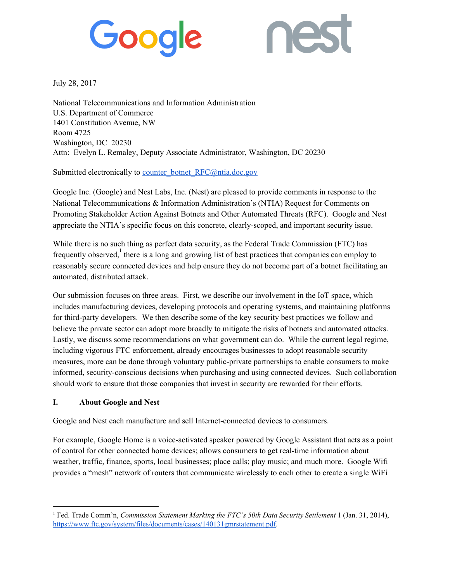# Google



July 28, 2017

National Telecommunications and Information Administration U.S. Department of Commerce 1401 Constitution Avenue, NW Room 4725 Washington, DC 20230 Attn: Evelyn L. Remaley, Deputy Associate Administrator, Washington, DC 20230

Submitted electronically to [counter\\_botnet\\_RFC@ntia.doc.gov](mailto:counter_botnet_RFC@ntia.doc.gov)

Google Inc. (Google) and Nest Labs, Inc. (Nest) are pleased to provide comments in response to the National Telecommunications & Information Administration's (NTIA) Request for Comments on Promoting Stakeholder Action Against Botnets and Other Automated Threats (RFC). Google and Nest appreciate the NTIA's specific focus on this concrete, clearly-scoped, and important security issue.

While there is no such thing as perfect data security, as the Federal Trade Commission (FTC) has frequently observed, there is a long and growing list of best practices that companies can employ to reasonably secure connected devices and help ensure they do not become part of a botnet facilitating an automated, distributed attack.

Our submission focuses on three areas. First, we describe our involvement in the IoT space, which includes manufacturing devices, developing protocols and operating systems, and maintaining platforms for third-party developers. We then describe some of the key security best practices we follow and believe the private sector can adopt more broadly to mitigate the risks of botnets and automated attacks. Lastly, we discuss some recommendations on what government can do. While the current legal regime, including vigorous FTC enforcement, already encourages businesses to adopt reasonable security measures, more can be done through voluntary public-private partnerships to enable consumers to make informed, security-conscious decisions when purchasing and using connected devices. Such collaboration should work to ensure that those companies that invest in security are rewarded for their efforts.

#### **I. About Google and Nest**

Google and Nest each manufacture and sell Internet-connected devices to consumers.

For example, Google Home is a voice-activated speaker powered by Google Assistant that acts as a point of control for other connected home devices; allows consumers to get real-time information about weather, traffic, finance, sports, local businesses; place calls; play music; and much more. Google Wifi provides a "mesh" network of routers that communicate wirelessly to each other to create a single WiFi

<sup>1</sup> Fed. Trade Comm'n, *Commission Statement Marking the FTC's 50th Data Security Settlement* 1 (Jan. 31, 2014)[,](https://www.ftc.gov/system/files/documents/cases/140131gmrstatement.pdf) [https://www.ftc.gov/system/files/documents/cases/140131gmrstatement.pdf.](https://www.ftc.gov/system/files/documents/cases/140131gmrstatement.pdf)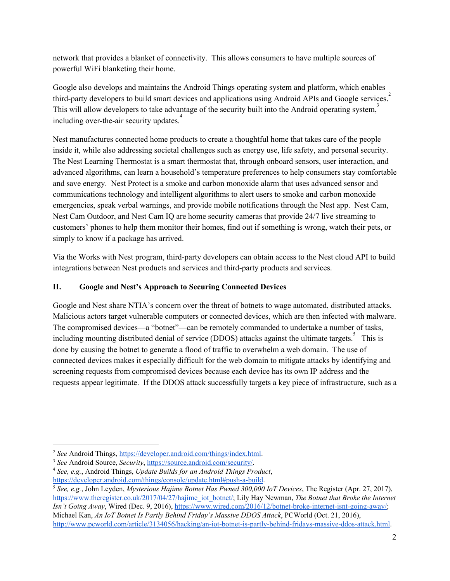network that provides a blanket of connectivity. This allows consumers to have multiple sources of powerful WiFi blanketing their home.

Google also develops and maintains the Android Things operating system and platform, which enables third-party developers to build smart devices and applications using Android APIs and Google services. 2 This will allow developers to take advantage of the security built into the Android operating system,<sup>3</sup> including over-the-air security updates.<sup>4</sup>

Nest manufactures connected home products to create a thoughtful home that takes care of the people inside it, while also addressing societal challenges such as energy use, life safety, and personal security. The Nest Learning Thermostat is a smart thermostat that, through onboard sensors, user interaction, and advanced algorithms, can learn a household's temperature preferences to help consumers stay comfortable and save energy. Nest Protect is a smoke and carbon monoxide alarm that uses advanced sensor and communications technology and intelligent algorithms to alert users to smoke and carbon monoxide emergencies, speak verbal warnings, and provide mobile notifications through the Nest app. Nest Cam, Nest Cam Outdoor, and Nest Cam IQ are home security cameras that provide 24/7 live streaming to customers' phones to help them monitor their homes, find out if something is wrong, watch their pets, or simply to know if a package has arrived.

Via the Works with Nest program, third-party developers can obtain access to the Nest cloud API to build integrations between Nest products and services and third-party products and services.

### **II. Google and Nest's Approach to Securing Connected Devices**

Google and Nest share NTIA's concern over the threat of botnets to wage automated, distributed attacks. Malicious actors target vulnerable computers or connected devices, which are then infected with malware. The compromised devices—a "botnet"—can be remotely commanded to undertake a number of tasks, including mounting distributed denial of service (DDOS) attacks against the ultimate targets.<sup>5</sup> This is done by causing the botnet to generate a flood of traffic to overwhelm a web domain. The use of connected devices makes it especially difficult for the web domain to mitigate attacks by identifying and screening requests from compromised devices because each device has its own IP address and the requests appear legitimate. If the DDOS attack successfully targets a key piece of infrastructure, such as a

<sup>4</sup> *See, e.g.*, Android Things, *Update Builds for an Android Things Product*, <https://developer.android.com/things/console/update.html#push-a-build>.

<sup>&</sup>lt;sup>2</sup> *See* Android Things, [https://developer.android.com/things/index.html.](https://developer.android.com/things/index.html)

<sup>3</sup> *See* Android Source, *Security*, [https://source.android.com/security/.](https://source.android.com/security/)

<sup>5</sup> *See, e.g.*, John Leyden, *Mysterious Hajime Botnet Has Pwned 300,000 IoT Devices*, The Register (Apr. 27, 2017), [https://www.theregister.co.uk/2017/04/27/hajime\\_iot\\_botnet/](https://www.theregister.co.uk/2017/04/27/hajime_iot_botnet/); Lily Hay Newman, *The Botnet that Broke the Internet Isn't Going Away*, Wired (Dec. 9, 2016), <https://www.wired.com/2016/12/botnet-broke-internet-isnt-going-away/>; Michael Kan, *An IoT Botnet Is Partly Behind Friday's Massive DDOS Attack*, PCWorld (Oct. 21, 2016), [http://www.pcworld.com/article/3134056/hacking/an-iot-botnet-is-partly-behind-fridays-massive-ddos-attack.html.](http://www.pcworld.com/article/3134056/hacking/an-iot-botnet-is-partly-behind-fridays-massive-ddos-attack.html)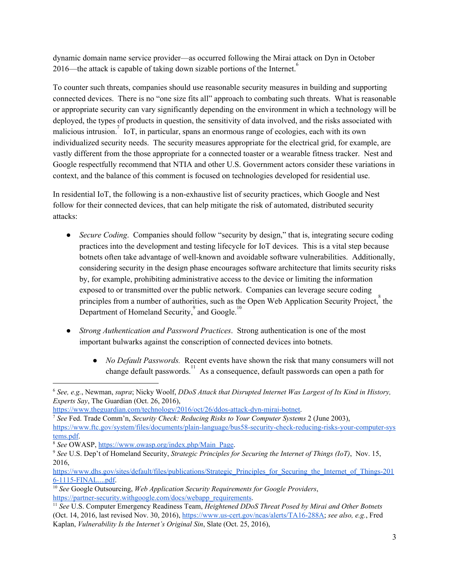dynamic domain name service provider—as occurred following the Mirai attack on Dyn in October 2016—the attack is capable of taking down sizable portions of the Internet. 6

To counter such threats, companies should use reasonable security measures in building and supporting connected devices. There is no "one size fits all" approach to combating such threats. What is reasonable or appropriate security can vary significantly depending on the environment in which a technology will be deployed, the types of products in question, the sensitivity of data involved, and the risks associated with malicious intrusion.<sup>7</sup> IoT, in particular, spans an enormous range of ecologies, each with its own individualized security needs. The security measures appropriate for the electrical grid, for example, are vastly different from the those appropriate for a connected toaster or a wearable fitness tracker. Nest and Google respectfully recommend that NTIA and other U.S. Government actors consider these variations in context, and the balance of this comment is focused on technologies developed for residential use.

In residential IoT, the following is a non-exhaustive list of security practices, which Google and Nest follow for their connected devices, that can help mitigate the risk of automated, distributed security attacks:

- *● Secure Coding*. Companies should follow "security by design," that is, integrating secure coding practices into the development and testing lifecycle for IoT devices. This is a vital step because botnets often take advantage of well-known and avoidable software vulnerabilities. Additionally, considering security in the design phase encourages software architecture that limits security risks by, for example, prohibiting administrative access to the device or limiting the information exposed to or transmitted over the public network. Companies can leverage secure coding principles from a number of authorities, such as the Open Web Application Security Project,  $\delta$  the Department of Homeland Security, $\int$  and Google.<sup>10</sup>
- *● Strong Authentication and Password Practices*. Strong authentication is one of the most important bulwarks against the conscription of connected devices into botnets.
	- *● No Default Passwords.* Recent events have shown the risk that many consumers will not change default passwords.<sup>11</sup> As a consequence, default passwords can open a path for

<sup>6</sup> *See, e.g.*, Newman, *supra*; Nicky Woolf, *DDoS Attack that Disrupted Internet Was Largest of Its Kind in History, Experts Say*, The Guardian (Oct. 26, 2016),

[https://www.theguardian.com/technology/2016/oct/26/ddos-attack-dyn-mirai-botnet.](https://www.theguardian.com/technology/2016/oct/26/ddos-attack-dyn-mirai-botnet)

<sup>7</sup> *See* Fed. Trade Comm'n, *Security Check: Reducing Risks to Your Computer Systems* 2 (June 2003), [https://www.ftc.gov/system/files/documents/plain-language/bus58-security-check-reducing-risks-your-computer-sys](https://www.ftc.gov/system/files/documents/plain-language/bus58-security-check-reducing-risks-your-computer-systems.pdf) [tems.pdf.](https://www.ftc.gov/system/files/documents/plain-language/bus58-security-check-reducing-risks-your-computer-systems.pdf)

<sup>8</sup> *See* OWASP, [https://www.owasp.org/index.php/Main\\_Page.](https://www.owasp.org/index.php/Main_Page)

<sup>9</sup> *See* U.S. Dep't of Homeland Security, *Strategic Principles for Securing the Internet of Things (IoT)*, Nov. 15, 2016,

[https://www.dhs.gov/sites/default/files/publications/Strategic\\_Principles\\_for\\_Securing\\_the\\_Internet\\_of\\_Things-201](https://www.dhs.gov/sites/default/files/publications/Strategic_Principles_for_Securing_the_Internet_of_Things-2016-1115-FINAL....pdf) [6-1115-FINAL....pdf.](https://www.dhs.gov/sites/default/files/publications/Strategic_Principles_for_Securing_the_Internet_of_Things-2016-1115-FINAL....pdf)

<sup>10</sup> *See* Google Outsourcing, *Web Application Security Requirements for Google Providers*, [https://partner-security.withgoogle.com/docs/webapp\\_requirements.](https://partner-security.withgoogle.com/docs/webapp_requirements)

<sup>11</sup> *See* U.S. Computer Emergency Readiness Team, *Heightened DDoS Threat Posed by Mirai and Other Botnets* (Oct. 14, 2016, last revised Nov. 30, 2016), [https://www.us-cert.gov/ncas/alerts/TA16-288A;](https://www.us-cert.gov/ncas/alerts/TA16-288A) *see also, e.g.*, Fred Kaplan, *Vulnerability Is the Internet's Original Sin*, Slate (Oct. 25, 2016),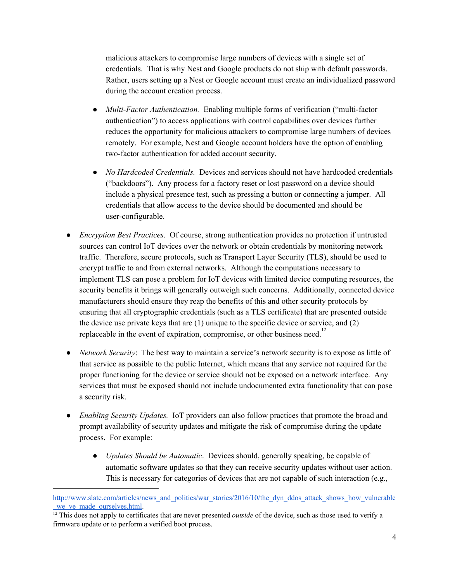malicious attackers to compromise large numbers of devices with a single set of credentials. That is why Nest and Google products do not ship with default passwords. Rather, users setting up a Nest or Google account must create an individualized password during the account creation process.

- *Multi-Factor Authentication.* Enabling multiple forms of verification ("multi-factor authentication") to access applications with control capabilities over devices further reduces the opportunity for malicious attackers to compromise large numbers of devices remotely. For example, Nest and Google account holders have the option of enabling two-factor authentication for added account security.
- *No Hardcoded Credentials.* Devices and services should not have hardcoded credentials ("backdoors"). Any process for a factory reset or lost password on a device should include a physical presence test, such as pressing a button or connecting a jumper. All credentials that allow access to the device should be documented and should be user-configurable.
- *● Encryption Best Practices*. Of course, strong authentication provides no protection if untrusted sources can control IoT devices over the network or obtain credentials by monitoring network traffic. Therefore, secure protocols, such as Transport Layer Security (TLS), should be used to encrypt traffic to and from external networks. Although the computations necessary to implement TLS can pose a problem for IoT devices with limited device computing resources, the security benefits it brings will generally outweigh such concerns. Additionally, connected device manufacturers should ensure they reap the benefits of this and other security protocols by ensuring that all cryptographic credentials (such as a TLS certificate) that are presented outside the device use private keys that are (1) unique to the specific device or service, and (2) replaceable in the event of expiration, compromise, or other business need.<sup>12</sup>
- *● Network Security*: The best way to maintain a service's network security is to expose as little of that service as possible to the public Internet, which means that any service not required for the proper functioning for the device or service should not be exposed on a network interface. Any services that must be exposed should not include undocumented extra functionality that can pose a security risk.
- *Enabling Security Updates.* IoT providers can also follow practices that promote the broad and prompt availability of security updates and mitigate the risk of compromise during the update process. For example:
	- *Updates Should be Automatic*. Devices should, generally speaking, be capable of automatic software updates so that they can receive security updates without user action. This is necessary for categories of devices that are not capable of such interaction (e.g.,

[http://www.slate.com/articles/news\\_and\\_politics/war\\_stories/2016/10/the\\_dyn\\_ddos\\_attack\\_shows\\_how\\_vulnerable](http://www.slate.com/articles/news_and_politics/war_stories/2016/10/the_dyn_ddos_attack_shows_how_vulnerable_we_ve_made_ourselves.html) we ve made ourselves.html.

<sup>&</sup>lt;sup>12</sup> This does not apply to certificates that are never presented *outside* of the device, such as those used to verify a firmware update or to perform a verified boot process.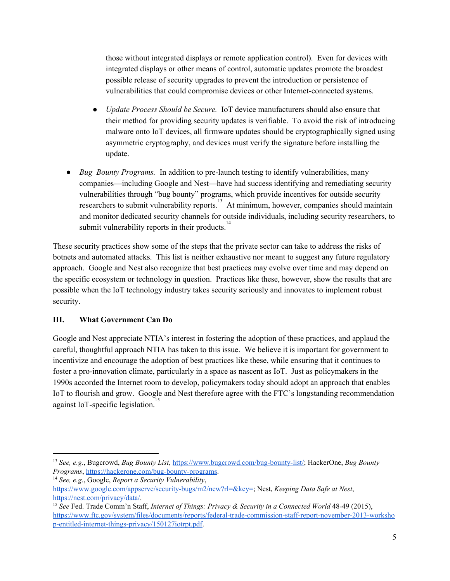those without integrated displays or remote application control). Even for devices with integrated displays or other means of control, automatic updates promote the broadest possible release of security upgrades to prevent the introduction or persistence of vulnerabilities that could compromise devices or other Internet-connected systems.

- *● Update Process Should be Secure.* IoT device manufacturers should also ensure that their method for providing security updates is verifiable. To avoid the risk of introducing malware onto IoT devices, all firmware updates should be cryptographically signed using asymmetric cryptography, and devices must verify the signature before installing the update.
- *Bug Bounty Programs.* In addition to pre-launch testing to identify vulnerabilities, many companies—including Google and Nest—have had success identifying and remediating security vulnerabilities through "bug bounty" programs, which provide incentives for outside security researchers to submit vulnerability reports.<sup>13</sup> At minimum, however, companies should maintain and monitor dedicated security channels for outside individuals, including security researchers, to submit vulnerability reports in their products. $14$

These security practices show some of the steps that the private sector can take to address the risks of botnets and automated attacks. This list is neither exhaustive nor meant to suggest any future regulatory approach. Google and Nest also recognize that best practices may evolve over time and may depend on the specific ecosystem or technology in question. Practices like these, however, show the results that are possible when the IoT technology industry takes security seriously and innovates to implement robust security.

#### **III. What Government Can Do**

Google and Nest appreciate NTIA's interest in fostering the adoption of these practices, and applaud the careful, thoughtful approach NTIA has taken to this issue. We believe it is important for government to incentivize and encourage the adoption of best practices like these, while ensuring that it continues to foster a pro-innovation climate, particularly in a space as nascent as IoT. Just as policymakers in the 1990s accorded the Internet room to develop, policymakers today should adopt an approach that enables IoT to flourish and grow. Google and Nest therefore agree with the FTC's longstanding recommendation against IoT-specific legislation.<sup>15</sup>

<sup>13</sup> *See, e.g.*, Bugcrowd, *Bug Bounty List*, [https://www.bugcrowd.com/bug-bounty-list/;](https://www.bugcrowd.com/bug-bounty-list/) HackerOne, *Bug Bounty Programs*, [https://hackerone.com/bug-bounty-programs.](https://hackerone.com/bug-bounty-programs)

<sup>14</sup> *See, e.g.*, Google, *Report a Security Vulnerability*,

[https://www.google.com/appserve/security-bugs/m2/new?rl=&key=;](https://www.google.com/appserve/security-bugs/m2/new?rl=&key=) Nest, *Keeping Data Safe at Nest*, [https://nest.com/privacy/data/.](https://nest.com/privacy/data/)

<sup>15</sup> *See* Fed. Trade Comm'n Staff, *Internet of Things: Privacy & Security in a Connected World* 48-49 (2015), [https://www.ftc.gov/system/files/documents/reports/federal-trade-commission-staff-report-november-2013-worksho](https://www.ftc.gov/system/files/documents/reports/federal-trade-commission-staff-report-november-2013-workshop-entitled-internet-things-privacy/150127iotrpt.pdf) [p-entitled-internet-things-privacy/150127iotrpt.pdf.](https://www.ftc.gov/system/files/documents/reports/federal-trade-commission-staff-report-november-2013-workshop-entitled-internet-things-privacy/150127iotrpt.pdf)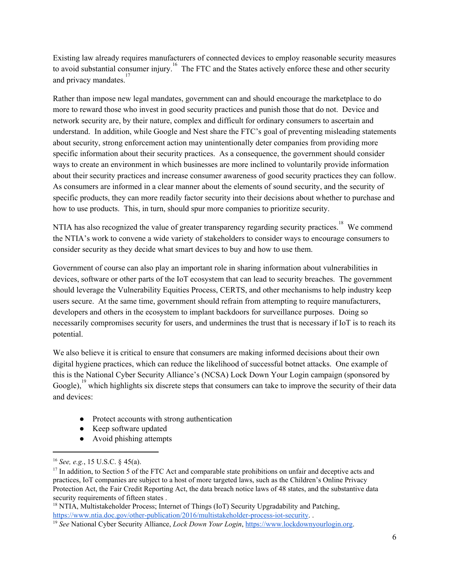Existing law already requires manufacturers of connected devices to employ reasonable security measures to avoid substantial consumer injury.<sup>16</sup> The FTC and the States actively enforce these and other security and privacy mandates.<sup>17</sup>

Rather than impose new legal mandates, government can and should encourage the marketplace to do more to reward those who invest in good security practices and punish those that do not. Device and network security are, by their nature, complex and difficult for ordinary consumers to ascertain and understand. In addition, while Google and Nest share the FTC's goal of preventing misleading statements about security, strong enforcement action may unintentionally deter companies from providing more specific information about their security practices. As a consequence, the government should consider ways to create an environment in which businesses are more inclined to voluntarily provide information about their security practices and increase consumer awareness of good security practices they can follow. As consumers are informed in a clear manner about the elements of sound security, and the security of specific products, they can more readily factor security into their decisions about whether to purchase and how to use products. This, in turn, should spur more companies to prioritize security.

NTIA has also recognized the value of greater transparency regarding security practices.<sup>18</sup> We commend the NTIA's work to convene a wide variety of stakeholders to consider ways to encourage consumers to consider security as they decide what smart devices to buy and how to use them.

Government of course can also play an important role in sharing information about vulnerabilities in devices, software or other parts of the IoT ecosystem that can lead to security breaches. The government should leverage the Vulnerability Equities Process, CERTS, and other mechanisms to help industry keep users secure. At the same time, government should refrain from attempting to require manufacturers, developers and others in the ecosystem to implant backdoors for surveillance purposes. Doing so necessarily compromises security for users, and undermines the trust that is necessary if IoT is to reach its potential.

We also believe it is critical to ensure that consumers are making informed decisions about their own digital hygiene practices, which can reduce the likelihood of successful botnet attacks. One example of this is the National Cyber Security Alliance's (NCSA) Lock Down Your Login campaign (sponsored by Google),  $\frac{19}{2}$  which highlights six discrete steps that consumers can take to improve the security of their data and devices:

- Protect accounts with strong authentication
- Keep software updated
- Avoid phishing attempts

<sup>18</sup> NTIA, Multistakeholder Process; Internet of Things (IoT) Security Upgradability and Patching, [https://www.ntia.doc.gov/other-publication/2016/multistakeholder-process-iot-security.](https://www.ntia.doc.gov/other-publication/2016/multistakeholder-process-iot-security) .

<sup>16</sup> *See, e.g.*, 15 U.S.C. § 45(a).

<sup>&</sup>lt;sup>17</sup> In addition, to Section 5 of the FTC Act and comparable state prohibitions on unfair and deceptive acts and practices, IoT companies are subject to a host of more targeted laws, such as the Children's Online Privacy Protection Act, the Fair Credit Reporting Act, the data breach notice laws of 48 states, and the substantive data security requirements of fifteen states.

<sup>19</sup> *See* National Cyber Security Alliance, *Lock Down Your Login*, [https://www.lockdownyourlogin.org.](https://www.lockdownyourlogin.org/)